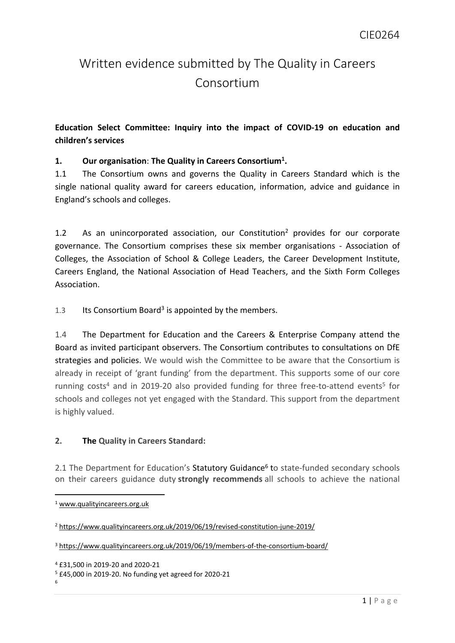# Written evidence submitted by The Quality in Careers Consortium

# **Education Select Committee: Inquiry into the impact of COVID-19 on education and children's services**

## **1. Our organisation**: **The Quality in Careers Consortium<sup>1</sup> .**

1.1 The Consortium owns and governs the Quality in Careers Standard which is the single national quality award for careers education, information, advice and guidance in England's schools and colleges.

1.2 As an unincorporated association, our Constitution<sup>2</sup> provides for our corporate governance. The Consortium comprises these six member organisations - Association of Colleges, the Association of School & College Leaders, the Career Development Institute, Careers England, the National Association of Head Teachers, and the Sixth Form Colleges Association.

1.3 Its Consortium Board<sup>3</sup> is appointed by the members.

1.4 The Department for Education and the Careers & Enterprise Company attend the Board as invited participant observers. The Consortium contributes to consultations on DfE strategies and policies. We would wish the Committee to be aware that the Consortium is already in receipt of 'grant funding' from the department. This supports some of our core running costs<sup>4</sup> and in 2019-20 also provided funding for three free-to-attend events<sup>5</sup> for schools and colleges not yet engaged with the Standard. This support from the department is highly valued.

### **2. The Quality in Careers Standard:**

2.1 The Department for Education's Statutory Guidance<sup>6</sup> to state-funded secondary schools on their careers guidance duty **strongly recommends** all schools to achieve the national

<sup>1</sup> [www.qualityincareers.org.uk](http://www.qualityincareers.org.uk/)

<sup>2</sup> <https://www.qualityincareers.org.uk/2019/06/19/revised-constitution-june-2019/>

<sup>3</sup> <https://www.qualityincareers.org.uk/2019/06/19/members-of-the-consortium-board/>

<sup>4</sup> £31,500 in 2019-20 and 2020-21

<sup>5</sup> £45,000 in 2019-20. No funding yet agreed for 2020-21 6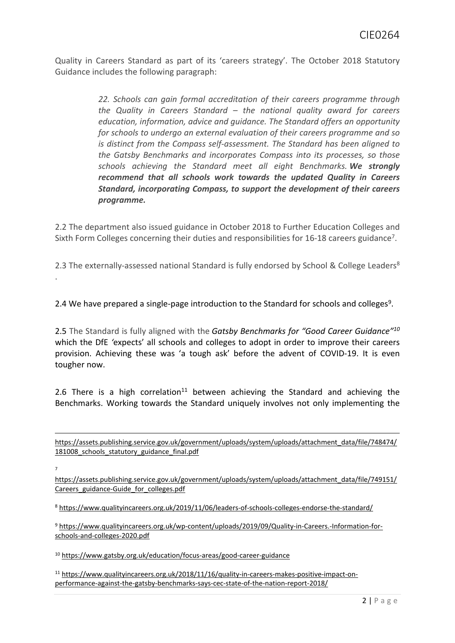Quality in Careers Standard as part of its 'careers strategy'. The October 2018 Statutory Guidance includes the following paragraph:

> *22. Schools can gain formal accreditation of their careers programme through the Quality in Careers Standard – the national quality award for careers education, information, advice and guidance. The Standard offers an opportunity for schools to undergo an external evaluation of their careers programme and so is distinct from the Compass self-assessment. The Standard has been aligned to the Gatsby Benchmarks and incorporates Compass into its processes, so those schools achieving the Standard meet all eight Benchmarks. We strongly recommend that all schools work towards the updated Quality in Careers Standard, incorporating Compass, to support the development of their careers programme.*

2.2 The department also issued guidance in October 2018 to Further Education Colleges and Sixth Form Colleges concerning their duties and responsibilities for 16-18 careers guidance<sup>7</sup>.

2.3 The externally-assessed national Standard is fully endorsed by School & College Leaders<sup>8</sup> .

2.4 We have prepared a single-page introduction to the Standard for schools and colleges<sup>9</sup>.

2.5 The Standard is fully aligned with the *[Gatsby](https://www.gatsby.org.uk/education/focus-areas/good-career-guidance) [Benchmarks](https://www.gatsby.org.uk/education/focus-areas/good-career-guidance) [for](https://www.gatsby.org.uk/education/focus-areas/good-career-guidance) ["Good](https://www.gatsby.org.uk/education/focus-areas/good-career-guidance) [Career](https://www.gatsby.org.uk/education/focus-areas/good-career-guidance) [Guidance"](https://www.gatsby.org.uk/education/focus-areas/good-career-guidance)<sup>10</sup>* which the DfE *'*expects' all schools and colleges to adopt in order to improve their careers provision. Achieving these was 'a tough ask' before the advent of COVID-19. It is even tougher now.

2.6 There is a high correlation<sup>11</sup> between achieving the Standard and achieving the Benchmarks. Working towards the Standard uniquely involves not only implementing the

[https://assets.publishing.service.gov.uk/government/uploads/system/uploads/attachment\\_data/file/748474/](https://assets.publishing.service.gov.uk/government/uploads/system/uploads/attachment_data/file/748474/181008_schools_statutory_guidance_final.pdf) 181008 schools statutory guidance final.pdf

7

[https://assets.publishing.service.gov.uk/government/uploads/system/uploads/attachment\\_data/file/749151/](https://assets.publishing.service.gov.uk/government/uploads/system/uploads/attachment_data/file/749151/Careers_guidance-Guide_for_colleges.pdf) [Careers\\_guidance-Guide\\_for\\_colleges.pdf](https://assets.publishing.service.gov.uk/government/uploads/system/uploads/attachment_data/file/749151/Careers_guidance-Guide_for_colleges.pdf)

<sup>8</sup> <https://www.qualityincareers.org.uk/2019/11/06/leaders-of-schools-colleges-endorse-the-standard/>

<sup>9</sup> [https://www.qualityincareers.org.uk/wp-content/uploads/2019/09/Quality-in-Careers.-Information-for](https://www.qualityincareers.org.uk/wp-content/uploads/2019/09/Quality-in-Careers.-Information-for-schools-and-colleges-2020.pdf)[schools-and-colleges-2020.pdf](https://www.qualityincareers.org.uk/wp-content/uploads/2019/09/Quality-in-Careers.-Information-for-schools-and-colleges-2020.pdf)

<sup>10</sup> <https://www.gatsby.org.uk/education/focus-areas/good-career-guidance>

<sup>11</sup> [https://www.qualityincareers.org.uk/2018/11/16/quality-in-careers-makes-positive-impact-on](https://www.qualityincareers.org.uk/2018/11/16/quality-in-careers-makes-positive-impact-on-performance-against-the-gatsby-benchmarks-says-cec-state-of-the-nation-report-2018/)[performance-against-the-gatsby-benchmarks-says-cec-state-of-the-nation-report-2018/](https://www.qualityincareers.org.uk/2018/11/16/quality-in-careers-makes-positive-impact-on-performance-against-the-gatsby-benchmarks-says-cec-state-of-the-nation-report-2018/)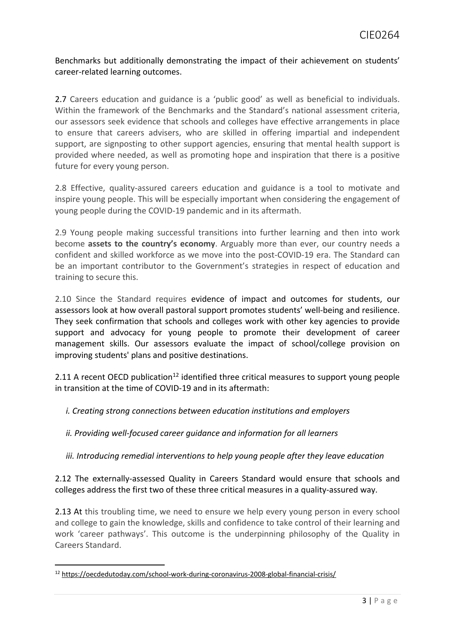Benchmarks but additionally demonstrating the impact of their achievement on students' career-related learning outcomes.

2.7 Careers education and guidance is a 'public good' as well as beneficial to individuals. Within the framework of the Benchmarks and the Standard's national assessment criteria, our assessors seek evidence that schools and colleges have effective arrangements in place to ensure that careers advisers, who are skilled in offering impartial and independent support, are signposting to other support agencies, ensuring that mental health support is provided where needed, as well as promoting hope and inspiration that there is a positive future for every young person.

2.8 Effective, quality-assured careers education and guidance is a tool to motivate and inspire young people. This will be especially important when considering the engagement of young people during the COVID-19 pandemic and in its aftermath.

2.9 Young people making successful transitions into further learning and then into work become **assets to the country's economy**. Arguably more than ever, our country needs a confident and skilled workforce as we move into the post-COVID-19 era. The Standard can be an important contributor to the Government's strategies in respect of education and training to secure this.

2.10 Since the Standard requires evidence of impact and outcomes for students, our assessors look at how overall pastoral support promotes students' well-being and resilience. They seek confirmation that schools and colleges work with other key agencies to provide support and advocacy for young people to promote their development of career management skills. Our assessors evaluate the impact of school/college provision on improving students' plans and positive destinations.

2.11 A recent OECD publication<sup>12</sup> identified three critical measures to support young people in transition at the time of COVID-19 and in its aftermath:

*i. Creating strong connections between education institutions and employers*

*ii. Providing well-focused career guidance and information for all learners*

*iii. Introducing remedial interventions to help young people after they leave education*

2.12 The externally-assessed Quality in Careers Standard would ensure that schools and colleges address the first two of these three critical measures in a quality-assured way.

2.13 At this troubling time, we need to ensure we help every young person in every school and college to gain the knowledge, skills and confidence to take control of their learning and work 'career pathways'. This outcome is the underpinning philosophy of the Quality in Careers Standard.

<sup>12</sup> <https://oecdedutoday.com/school-work-during-coronavirus-2008-global-financial-crisis/>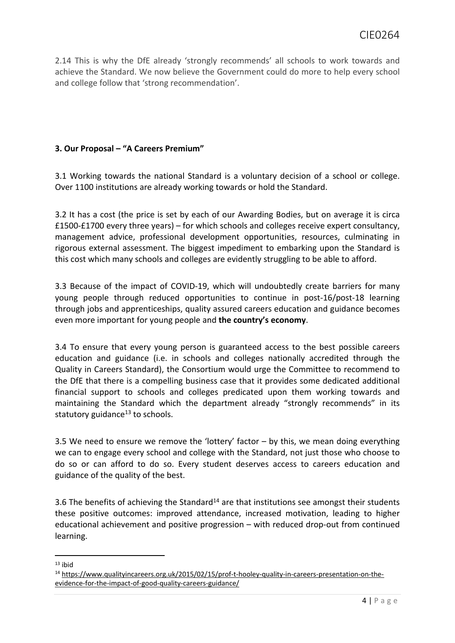2.14 This is why the DfE already 'strongly recommends' all schools to work towards and achieve the Standard. We now believe the Government could do more to help every school and college follow that 'strong recommendation'.

#### **3. Our Proposal – "A Careers Premium"**

3.1 Working towards the national Standard is a voluntary decision of a school or college. Over 1100 institutions are already working towards or hold the Standard.

3.2 It has a cost (the price is set by each of our Awarding Bodies, but on average it is circa £1500-£1700 every three years) – for which schools and colleges receive expert consultancy, management advice, professional development opportunities, resources, culminating in rigorous external assessment. The biggest impediment to embarking upon the Standard is this cost which many schools and colleges are evidently struggling to be able to afford.

3.3 Because of the impact of COVID-19, which will undoubtedly create barriers for many young people through reduced opportunities to continue in post-16/post-18 learning through jobs and apprenticeships, quality assured careers education and guidance becomes even more important for young people and **the country's economy**.

3.4 To ensure that every young person is guaranteed access to the best possible careers education and guidance (i.e. in schools and colleges nationally accredited through the Quality in Careers Standard), the Consortium would urge the Committee to recommend to the DfE that there is a compelling business case that it provides some dedicated additional financial support to schools and colleges predicated upon them working towards and maintaining the Standard which the department already "strongly recommends" in its statutory guidance $13$  to schools.

3.5 We need to ensure we remove the 'lottery' factor  $-$  by this, we mean doing everything we can to engage every school and college with the Standard, not just those who choose to do so or can afford to do so. Every student deserves access to careers education and guidance of the quality of the best.

3.6 The benefits of achieving the Standard<sup>14</sup> are that institutions see amongst their students these positive outcomes: improved attendance, increased motivation, leading to higher educational achievement and positive progression – with reduced drop-out from continued learning.

 $13$  ihid

<sup>14</sup> [https://www.qualityincareers.org.uk/2015/02/15/prof-t-hooley-quality-in-careers-presentation-on-the](https://www.qualityincareers.org.uk/2015/02/15/prof-t-hooley-quality-in-careers-presentation-on-the-evidence-for-the-impact-of-good-quality-careers-guidance/)[evidence-for-the-impact-of-good-quality-careers-guidance/](https://www.qualityincareers.org.uk/2015/02/15/prof-t-hooley-quality-in-careers-presentation-on-the-evidence-for-the-impact-of-good-quality-careers-guidance/)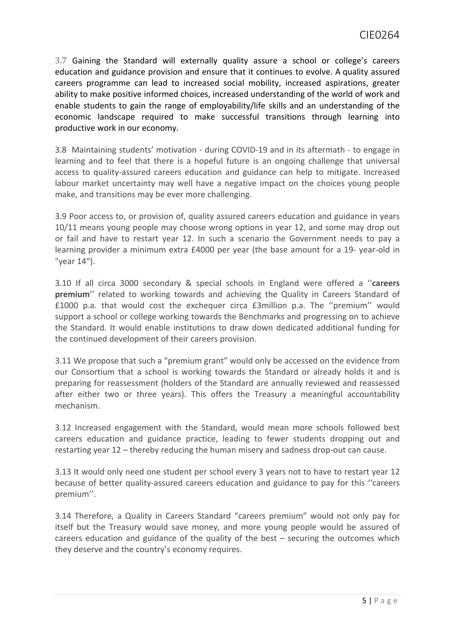3.7 Gaining the Standard will externally quality assure a school or college's careers education and guidance provision and ensure that it continues to evolve. A quality assured careers programme can lead to increased social mobility, increased aspirations, greater ability to make positive informed choices, increased understanding of the world of work and enable students to gain the range of employability/life skills and an understanding of the economic landscape required to make successful transitions through learning into productive work in our economy.

3.8 Maintaining students' motivation - during COVID-19 and in its aftermath - to engage in learning and to feel that there is a hopeful future is an ongoing challenge that universal access to quality-assured careers education and guidance can help to mitigate. Increased labour market uncertainty may well have a negative impact on the choices young people make, and transitions may be ever more challenging.

3.9 Poor access to, or provision of, quality assured careers education and guidance in years 10/11 means young people may choose wrong options in year 12, and some may drop out or fail and have to restart year 12. In such a scenario the Government needs to pay a learning provider a minimum extra £4000 per year (the base amount for a 19- year-old in "year 14").

3.10 If all circa 3000 secondary & special schools in England were offered a ''**careers premium**'' related to working towards and achieving the Quality in Careers Standard of £1000 p.a. that would cost the exchequer circa £3million p.a. The ''premium'' would support a school or college working towards the Benchmarks and progressing on to achieve the Standard. It would enable institutions to draw down dedicated additional funding for the continued development of their careers provision.

3.11 We propose that such a "premium grant" would only be accessed on the evidence from our Consortium that a school is working towards the Standard or already holds it and is preparing for reassessment (holders of the Standard are annually reviewed and reassessed after either two or three years). This offers the Treasury a meaningful accountability mechanism.

3.12 Increased engagement with the Standard, would mean more schools followed best careers education and guidance practice, leading to fewer students dropping out and restarting year 12 – thereby reducing the human misery and sadness drop-out can cause.

3.13 It would only need one student per school every 3 years not to have to restart year 12 because of better quality-assured careers education and guidance to pay for this ''careers premium''.

3.14 Therefore, a Quality in Careers Standard "careers premium" would not only pay for itself but the Treasury would save money, and more young people would be assured of careers education and guidance of the quality of the best – securing the outcomes which they deserve and the country's economy requires.